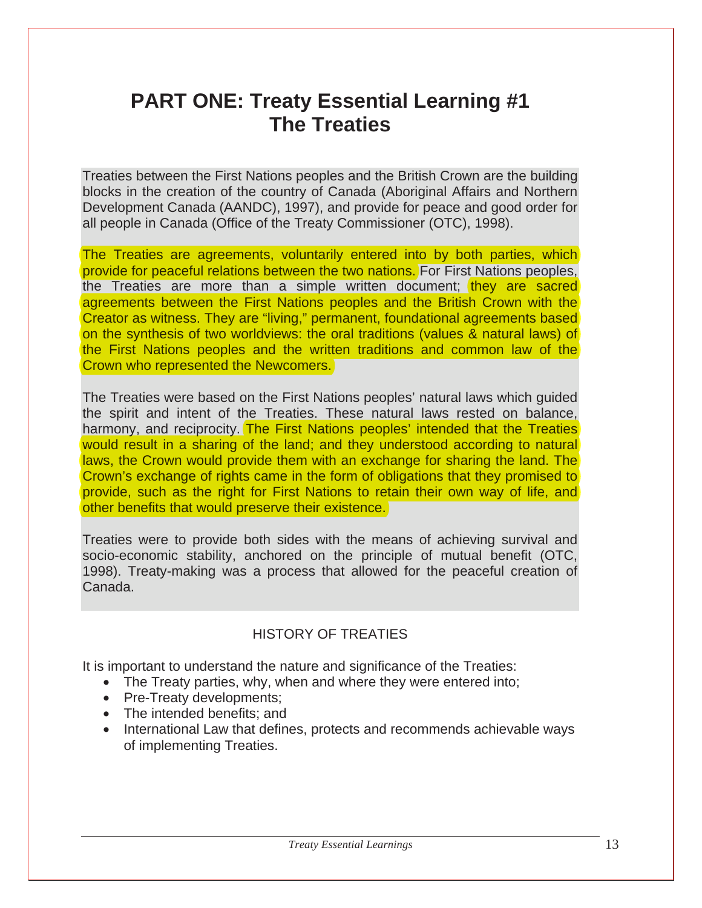# **PART ONE: Treaty Essential Learning #1 The Treaties**

Treaties between the First Nations peoples and the British Crown are the building blocks in the creation of the country of Canada (Aboriginal Affairs and Northern Development Canada (AANDC), 1997), and provide for peace and good order for all people in Canada (Office of the Treaty Commissioner (OTC), 1998).

The Treaties are agreements, voluntarily entered into by both parties, which provide for peaceful relations between the two nations. For First Nations peoples, the Treaties are more than a simple written document; they are sacred agreements between the First Nations peoples and the British Crown with the Creator as witness. They are "living," permanent, foundational agreements based on the synthesis of two worldviews: the oral traditions (values & natural laws) of the First Nations peoples and the written traditions and common law of the Crown who represented the Newcomers.

The Treaties were based on the First Nations peoples' natural laws which guided the spirit and intent of the Treaties. These natural laws rested on balance, harmony, and reciprocity. The First Nations peoples' intended that the Treaties would result in a sharing of the land; and they understood according to natural laws, the Crown would provide them with an exchange for sharing the land. The Crown's exchange of rights came in the form of obligations that they promised to provide, such as the right for First Nations to retain their own way of life, and other benefits that would preserve their existence.

Treaties were to provide both sides with the means of achieving survival and socio-economic stability, anchored on the principle of mutual benefit (OTC, 1998). Treaty-making was a process that allowed for the peaceful creation of Canada.

#### HISTORY OF TREATIES

It is important to understand the nature and significance of the Treaties:

- The Treaty parties, why, when and where they were entered into;
- Pre-Treaty developments;
- The intended benefits; and
- International Law that defines, protects and recommends achievable ways of implementing Treaties.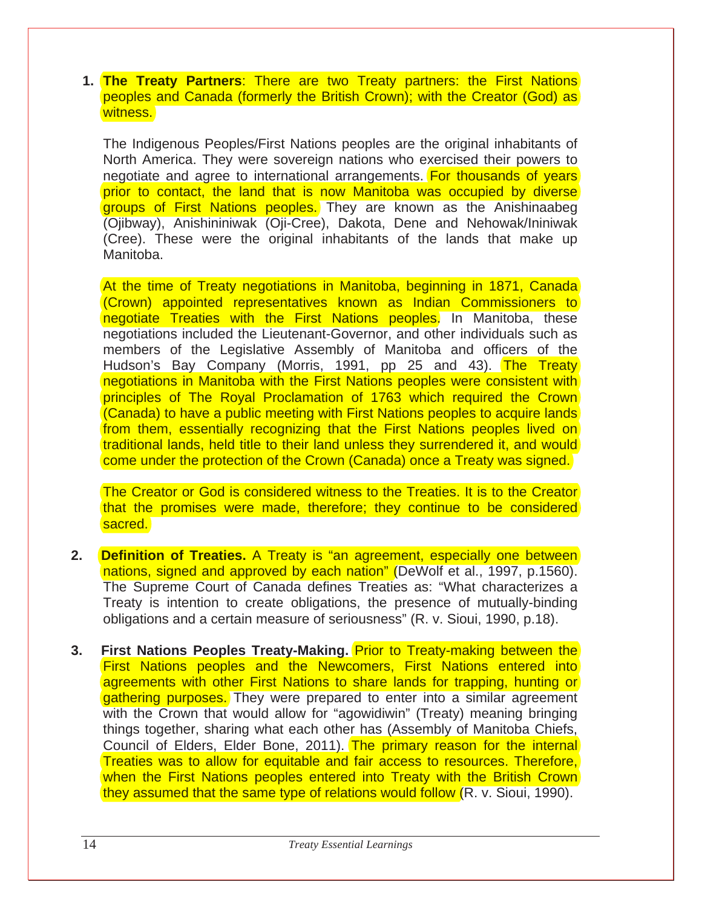**1. The Treaty Partners**: There are two Treaty partners: the First Nations peoples and Canada (formerly the British Crown); with the Creator (God) as witness.

The Indigenous Peoples/First Nations peoples are the original inhabitants of North America. They were sovereign nations who exercised their powers to negotiate and agree to international arrangements. For thousands of years prior to contact, the land that is now Manitoba was occupied by diverse groups of First Nations peoples. They are known as the Anishinaabeg (Ojibway), Anishininiwak (Oji-Cree), Dakota, Dene and Nehowak/Ininiwak (Cree). These were the original inhabitants of the lands that make up Manitoba.

At the time of Treaty negotiations in Manitoba, beginning in 1871, Canada (Crown) appointed representatives known as Indian Commissioners to negotiate Treaties with the First Nations peoples. In Manitoba, these negotiations included the Lieutenant-Governor, and other individuals such as members of the Legislative Assembly of Manitoba and officers of the Hudson's Bay Company (Morris, 1991, pp 25 and 43). The Treaty negotiations in Manitoba with the First Nations peoples were consistent with principles of The Royal Proclamation of 1763 which required the Crown (Canada) to have a public meeting with First Nations peoples to acquire lands from them, essentially recognizing that the First Nations peoples lived on traditional lands, held title to their land unless they surrendered it, and would come under the protection of the Crown (Canada) once a Treaty was signed.

The Creator or God is considered witness to the Treaties. It is to the Creator that the promises were made, therefore; they continue to be considered sacred.

- **2. Definition of Treaties.** A Treaty is "an agreement, especially one between nations, signed and approved by each nation" (DeWolf et al., 1997, p.1560). The Supreme Court of Canada defines Treaties as: "What characterizes a Treaty is intention to create obligations, the presence of mutually-binding obligations and a certain measure of seriousness" (R. v. Sioui, 1990, p.18).
- **3. First Nations Peoples Treaty-Making.** Prior to Treaty-making between the First Nations peoples and the Newcomers, First Nations entered into agreements with other First Nations to share lands for trapping, hunting or gathering purposes. They were prepared to enter into a similar agreement with the Crown that would allow for "agowidiwin" (Treaty) meaning bringing things together, sharing what each other has (Assembly of Manitoba Chiefs, Council of Elders, Elder Bone, 2011). The primary reason for the internal Treaties was to allow for equitable and fair access to resources. Therefore, when the First Nations peoples entered into Treaty with the British Crown they assumed that the same type of relations would follow (R. v. Sioui, 1990).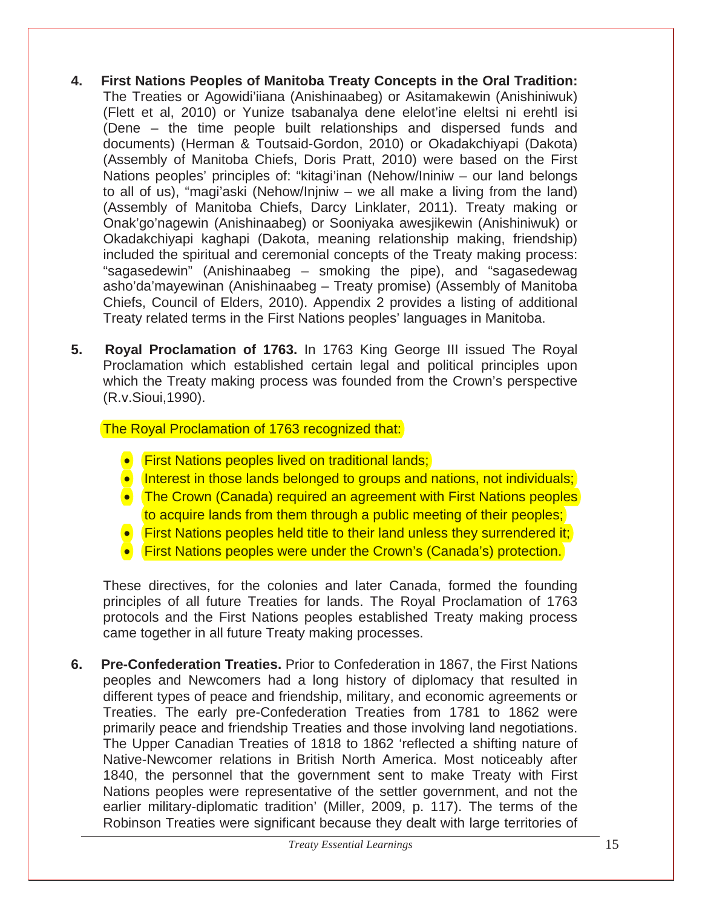- **4. First Nations Peoples of Manitoba Treaty Concepts in the Oral Tradition:**  The Treaties or Agowidi'iiana (Anishinaabeg) or Asitamakewin (Anishiniwuk) (Flett et al, 2010) or Yunize tsabanalya dene elelot'ine eleltsi ni erehtl isi (Dene – the time people built relationships and dispersed funds and documents) (Herman & Toutsaid-Gordon, 2010) or Okadakchiyapi (Dakota) (Assembly of Manitoba Chiefs, Doris Pratt, 2010) were based on the First Nations peoples' principles of: "kitagi'inan (Nehow/Ininiw – our land belongs to all of us), "magi'aski (Nehow/Injniw – we all make a living from the land) (Assembly of Manitoba Chiefs, Darcy Linklater, 2011). Treaty making or Onak'go'nagewin (Anishinaabeg) or Sooniyaka awesjikewin (Anishiniwuk) or Okadakchiyapi kaghapi (Dakota, meaning relationship making, friendship) included the spiritual and ceremonial concepts of the Treaty making process: "sagasedewin" (Anishinaabeg – smoking the pipe), and "sagasedewag asho'da'mayewinan (Anishinaabeg – Treaty promise) (Assembly of Manitoba Chiefs, Council of Elders, 2010). Appendix 2 provides a listing of additional Treaty related terms in the First Nations peoples' languages in Manitoba.
- **5. Royal Proclamation of 1763.** In 1763 King George III issued The Royal Proclamation which established certain legal and political principles upon which the Treaty making process was founded from the Crown's perspective (R.v.Sioui,1990).

### The Royal Proclamation of 1763 recognized that:

- First Nations peoples lived on traditional lands;
- Interest in those lands belonged to groups and nations, not individuals;
- The Crown (Canada) required an agreement with First Nations peoples to acquire lands from them through a public meeting of their peoples;
- First Nations peoples held title to their land unless they surrendered it;
- First Nations peoples were under the Crown's (Canada's) protection.

These directives, for the colonies and later Canada, formed the founding principles of all future Treaties for lands. The Royal Proclamation of 1763 protocols and the First Nations peoples established Treaty making process came together in all future Treaty making processes.

**6. Pre-Confederation Treaties.** Prior to Confederation in 1867, the First Nations peoples and Newcomers had a long history of diplomacy that resulted in different types of peace and friendship, military, and economic agreements or Treaties. The early pre-Confederation Treaties from 1781 to 1862 were primarily peace and friendship Treaties and those involving land negotiations. The Upper Canadian Treaties of 1818 to 1862 'reflected a shifting nature of Native-Newcomer relations in British North America. Most noticeably after 1840, the personnel that the government sent to make Treaty with First Nations peoples were representative of the settler government, and not the earlier military-diplomatic tradition' (Miller, 2009, p. 117). The terms of the Robinson Treaties were significant because they dealt with large territories of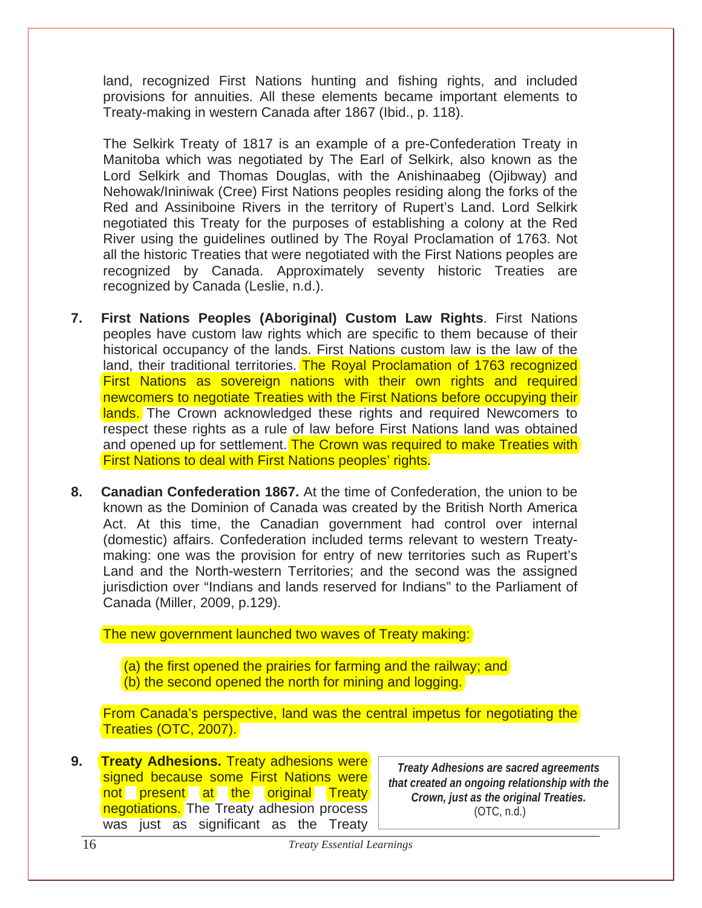land, recognized First Nations hunting and fishing rights, and included provisions for annuities. All these elements became important elements to Treaty-making in western Canada after 1867 (Ibid., p. 118).

The Selkirk Treaty of 1817 is an example of a pre-Confederation Treaty in Manitoba which was negotiated by The Earl of Selkirk, also known as the Lord Selkirk and Thomas Douglas, with the Anishinaabeg (Ojibway) and Nehowak/Ininiwak (Cree) First Nations peoples residing along the forks of the Red and Assiniboine Rivers in the territory of Rupert's Land. Lord Selkirk negotiated this Treaty for the purposes of establishing a colony at the Red River using the guidelines outlined by The Royal Proclamation of 1763. Not all the historic Treaties that were negotiated with the First Nations peoples are recognized by Canada. Approximately seventy historic Treaties are recognized by Canada (Leslie, n.d.).

- **7. First Nations Peoples (Aboriginal) Custom Law Rights**. First Nations peoples have custom law rights which are specific to them because of their historical occupancy of the lands. First Nations custom law is the law of the land, their traditional territories. The Royal Proclamation of 1763 recognized First Nations as sovereign nations with their own rights and required newcomers to negotiate Treaties with the First Nations before occupying their lands. The Crown acknowledged these rights and required Newcomers to respect these rights as a rule of law before First Nations land was obtained and opened up for settlement. The Crown was required to make Treaties with First Nations to deal with First Nations peoples' rights.
- **8. Canadian Confederation 1867.** At the time of Confederation, the union to be known as the Dominion of Canada was created by the British North America Act. At this time, the Canadian government had control over internal (domestic) affairs. Confederation included terms relevant to western Treatymaking: one was the provision for entry of new territories such as Rupert's Land and the North-western Territories; and the second was the assigned jurisdiction over "Indians and lands reserved for Indians" to the Parliament of Canada (Miller, 2009, p.129).

The new government launched two waves of Treaty making:

(a) the first opened the prairies for farming and the railway; and (b) the second opened the north for mining and logging.

From Canada's perspective, land was the central impetus for negotiating the Treaties (OTC, 2007).

**9. Treaty Adhesions.** Treaty adhesions were signed because some First Nations were not present at the original Treaty negotiations. The Treaty adhesion process was just as significant as the Treaty

*Treaty Adhesions are sacred agreements that created an ongoing relationship with the Crown, just as the original Treaties.*  (OTC, n.d.)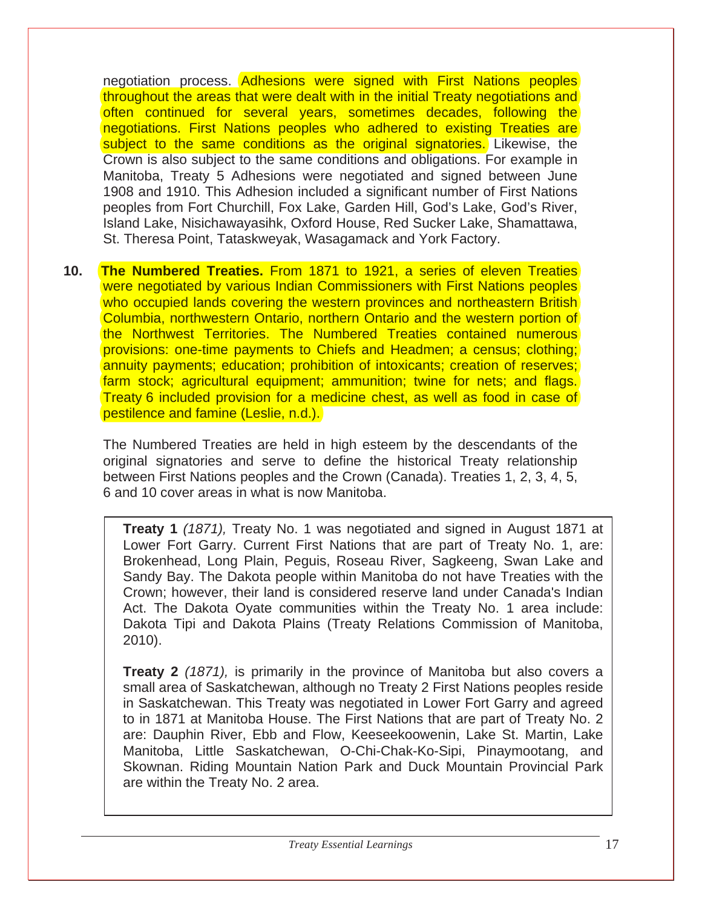negotiation process. Adhesions were signed with First Nations peoples throughout the areas that were dealt with in the initial Treaty negotiations and often continued for several years, sometimes decades, following the negotiations. First Nations peoples who adhered to existing Treaties are subject to the same conditions as the original signatories. Likewise, the Crown is also subject to the same conditions and obligations. For example in Manitoba, Treaty 5 Adhesions were negotiated and signed between June 1908 and 1910. This Adhesion included a significant number of First Nations peoples from Fort Churchill, Fox Lake, Garden Hill, God's Lake, God's River, Island Lake, Nisichawayasihk, Oxford House, Red Sucker Lake, Shamattawa, St. Theresa Point, Tataskweyak, Wasagamack and York Factory.

**10. The Numbered Treaties.** From 1871 to 1921, a series of eleven Treaties were negotiated by various Indian Commissioners with First Nations peoples who occupied lands covering the western provinces and northeastern British Columbia, northwestern Ontario, northern Ontario and the western portion of the Northwest Territories. The Numbered Treaties contained numerous provisions: one-time payments to Chiefs and Headmen; a census; clothing; annuity payments; education; prohibition of intoxicants; creation of reserves; farm stock; agricultural equipment; ammunition; twine for nets; and flags. Treaty 6 included provision for a medicine chest, as well as food in case of pestilence and famine (Leslie, n.d.).

The Numbered Treaties are held in high esteem by the descendants of the original signatories and serve to define the historical Treaty relationship between First Nations peoples and the Crown (Canada). Treaties 1, 2, 3, 4, 5, 6 and 10 cover areas in what is now Manitoba.

**Treaty 1** *(1871),* Treaty No. 1 was negotiated and signed in August 1871 at Lower Fort Garry. Current First Nations that are part of Treaty No. 1, are: Brokenhead, Long Plain, Peguis, Roseau River, Sagkeeng, Swan Lake and Sandy Bay. The Dakota people within Manitoba do not have Treaties with the Crown; however, their land is considered reserve land under Canada's Indian Act. The Dakota Oyate communities within the Treaty No. 1 area include: Dakota Tipi and Dakota Plains (Treaty Relations Commission of Manitoba, 2010).

**Treaty 2** *(1871),* is primarily in the province of Manitoba but also covers a small area of Saskatchewan, although no Treaty 2 First Nations peoples reside in Saskatchewan. This Treaty was negotiated in Lower Fort Garry and agreed to in 1871 at Manitoba House. The First Nations that are part of Treaty No. 2 are: Dauphin River, Ebb and Flow, Keeseekoowenin, Lake St. Martin, Lake Manitoba, Little Saskatchewan, O-Chi-Chak-Ko-Sipi, Pinaymootang, and Skownan. Riding Mountain Nation Park and Duck Mountain Provincial Park are within the Treaty No. 2 area.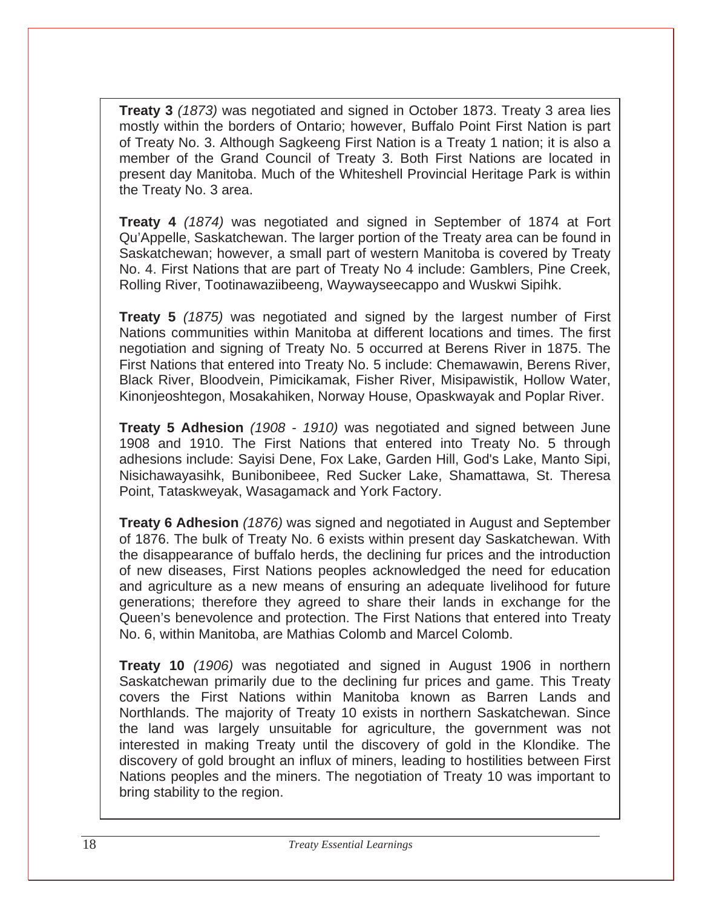**Treaty 3** *(1873)* was negotiated and signed in October 1873. Treaty 3 area lies mostly within the borders of Ontario; however, Buffalo Point First Nation is part of Treaty No. 3. Although Sagkeeng First Nation is a Treaty 1 nation; it is also a member of the Grand Council of Treaty 3. Both First Nations are located in present day Manitoba. Much of the Whiteshell Provincial Heritage Park is within the Treaty No. 3 area.

**Treaty 4** *(1874)* was negotiated and signed in September of 1874 at Fort Qu'Appelle, Saskatchewan. The larger portion of the Treaty area can be found in Saskatchewan; however, a small part of western Manitoba is covered by Treaty No. 4. First Nations that are part of Treaty No 4 include: Gamblers, Pine Creek, Rolling River, Tootinawaziibeeng, Waywayseecappo and Wuskwi Sipihk.

**Treaty 5** *(1875)* was negotiated and signed by the largest number of First Nations communities within Manitoba at different locations and times. The first negotiation and signing of Treaty No. 5 occurred at Berens River in 1875. The First Nations that entered into Treaty No. 5 include: Chemawawin, Berens River, Black River, Bloodvein, Pimicikamak, Fisher River, Misipawistik, Hollow Water, Kinonjeoshtegon, Mosakahiken, Norway House, Opaskwayak and Poplar River.

**Treaty 5 Adhesion** *(1908 - 1910)* was negotiated and signed between June 1908 and 1910. The First Nations that entered into Treaty No. 5 through adhesions include: Sayisi Dene, Fox Lake, Garden Hill, God's Lake, Manto Sipi, Nisichawayasihk, Bunibonibeee, Red Sucker Lake, Shamattawa, St. Theresa Point, Tataskweyak, Wasagamack and York Factory.

**Treaty 6 Adhesion** *(1876)* was signed and negotiated in August and September of 1876. The bulk of Treaty No. 6 exists within present day Saskatchewan. With the disappearance of buffalo herds, the declining fur prices and the introduction of new diseases, First Nations peoples acknowledged the need for education and agriculture as a new means of ensuring an adequate livelihood for future generations; therefore they agreed to share their lands in exchange for the Queen's benevolence and protection. The First Nations that entered into Treaty No. 6, within Manitoba, are Mathias Colomb and Marcel Colomb.

**Treaty 10** *(1906)* was negotiated and signed in August 1906 in northern Saskatchewan primarily due to the declining fur prices and game. This Treaty covers the First Nations within Manitoba known as Barren Lands and Northlands. The majority of Treaty 10 exists in northern Saskatchewan. Since the land was largely unsuitable for agriculture, the government was not interested in making Treaty until the discovery of gold in the Klondike. The discovery of gold brought an influx of miners, leading to hostilities between First Nations peoples and the miners. The negotiation of Treaty 10 was important to bring stability to the region.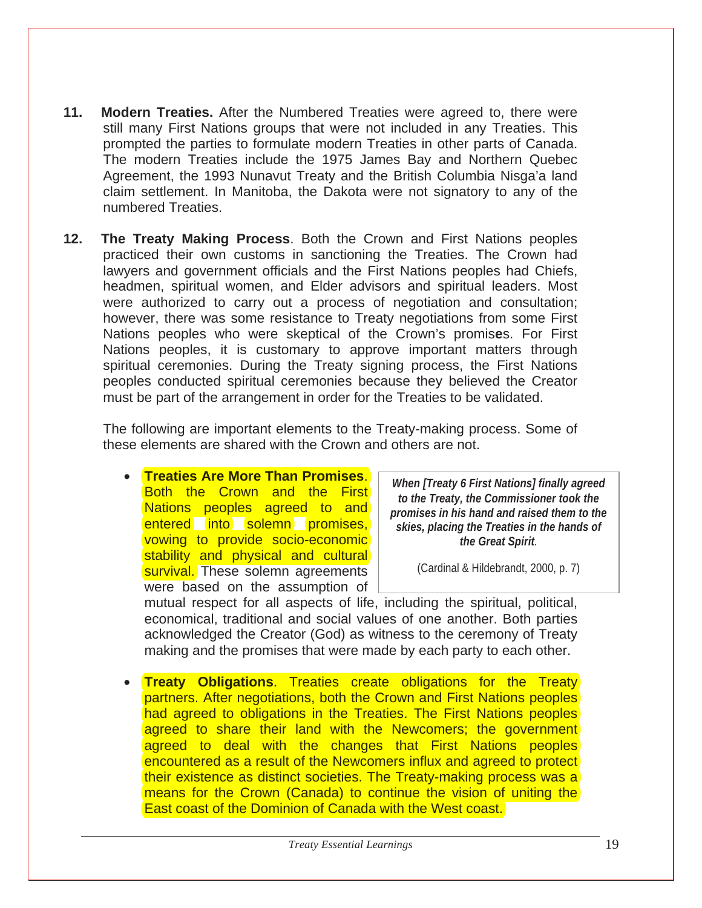- **11. Modern Treaties.** After the Numbered Treaties were agreed to, there were still many First Nations groups that were not included in any Treaties. This prompted the parties to formulate modern Treaties in other parts of Canada. The modern Treaties include the 1975 James Bay and Northern Quebec Agreement, the 1993 Nunavut Treaty and the British Columbia Nisga'a land claim settlement. In Manitoba, the Dakota were not signatory to any of the numbered Treaties.
- **12. The Treaty Making Process**. Both the Crown and First Nations peoples practiced their own customs in sanctioning the Treaties. The Crown had lawyers and government officials and the First Nations peoples had Chiefs, headmen, spiritual women, and Elder advisors and spiritual leaders. Most were authorized to carry out a process of negotiation and consultation; however, there was some resistance to Treaty negotiations from some First Nations peoples who were skeptical of the Crown's promis**e**s. For First Nations peoples, it is customary to approve important matters through spiritual ceremonies. During the Treaty signing process, the First Nations peoples conducted spiritual ceremonies because they believed the Creator must be part of the arrangement in order for the Treaties to be validated.

The following are important elements to the Treaty-making process. Some of these elements are shared with the Crown and others are not.

• **Treaties Are More Than Promises**. Both the Crown and the First Nations peoples agreed to and entered into solemn promises, vowing to provide socio-economic stability and physical and cultural survival. These solemn agreements were based on the assumption of

*When [Treaty 6 First Nations] finally agreed to the Treaty, the Commissioner took the promises in his hand and raised them to the skies, placing the Treaties in the hands of the Great Spirit.* 

(Cardinal & Hildebrandt, 2000, p. 7)

mutual respect for all aspects of life, including the spiritual, political, economical, traditional and social values of one another. Both parties acknowledged the Creator (God) as witness to the ceremony of Treaty making and the promises that were made by each party to each other.

**Treaty Obligations.** Treaties create obligations for the Treaty partners. After negotiations, both the Crown and First Nations peoples had agreed to obligations in the Treaties. The First Nations peoples agreed to share their land with the Newcomers; the government agreed to deal with the changes that First Nations peoples encountered as a result of the Newcomers influx and agreed to protect their existence as distinct societies. The Treaty-making process was a means for the Crown (Canada) to continue the vision of uniting the East coast of the Dominion of Canada with the West coast.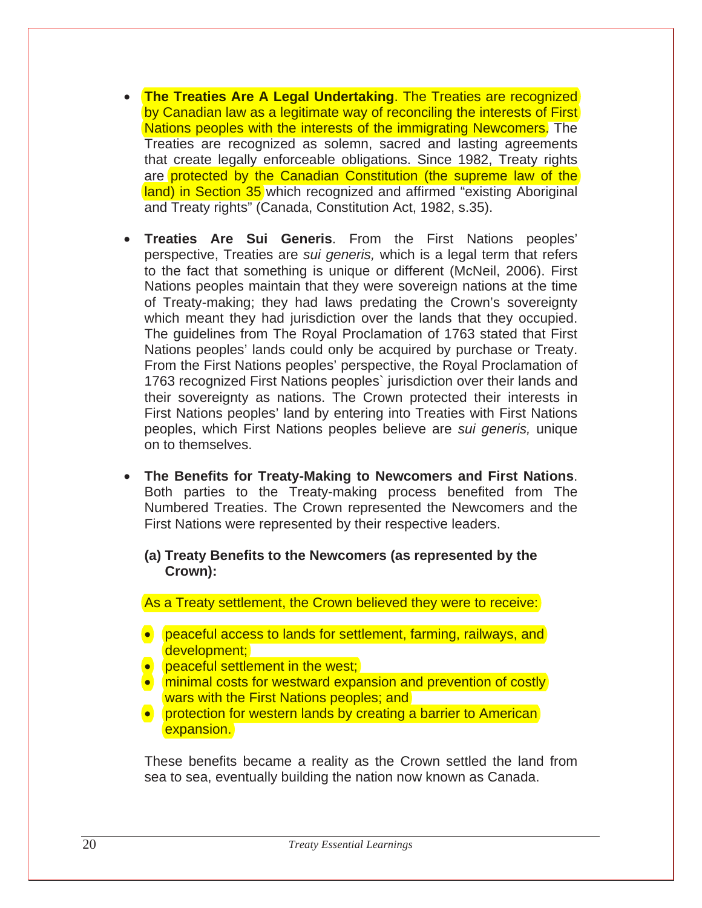- **The Treaties Are A Legal Undertaking**. The Treaties are recognized by Canadian law as a legitimate way of reconciling the interests of First Nations peoples with the interests of the immigrating Newcomers. The Treaties are recognized as solemn, sacred and lasting agreements that create legally enforceable obligations. Since 1982, Treaty rights are protected by the Canadian Constitution (the supreme law of the land) in Section 35 which recognized and affirmed "existing Aboriginal and Treaty rights" (Canada, Constitution Act, 1982, s.35).
- **Treaties Are Sui Generis**. From the First Nations peoples' perspective, Treaties are *sui generis,* which is a legal term that refers to the fact that something is unique or different (McNeil, 2006). First Nations peoples maintain that they were sovereign nations at the time of Treaty-making; they had laws predating the Crown's sovereignty which meant they had jurisdiction over the lands that they occupied. The guidelines from The Royal Proclamation of 1763 stated that First Nations peoples' lands could only be acquired by purchase or Treaty. From the First Nations peoples' perspective, the Royal Proclamation of 1763 recognized First Nations peoples` jurisdiction over their lands and their sovereignty as nations. The Crown protected their interests in First Nations peoples' land by entering into Treaties with First Nations peoples, which First Nations peoples believe are *sui generis,* unique on to themselves.
- **The Benefits for Treaty-Making to Newcomers and First Nations**. Both parties to the Treaty-making process benefited from The Numbered Treaties. The Crown represented the Newcomers and the First Nations were represented by their respective leaders.
	- **(a) Treaty Benefits to the Newcomers (as represented by the Crown):**

As a Treaty settlement, the Crown believed they were to receive:

- peaceful access to lands for settlement, farming, railways, and development;
- peaceful settlement in the west;
- minimal costs for westward expansion and prevention of costly wars with the First Nations peoples; and
- protection for western lands by creating a barrier to American expansion.

These benefits became a reality as the Crown settled the land from sea to sea, eventually building the nation now known as Canada.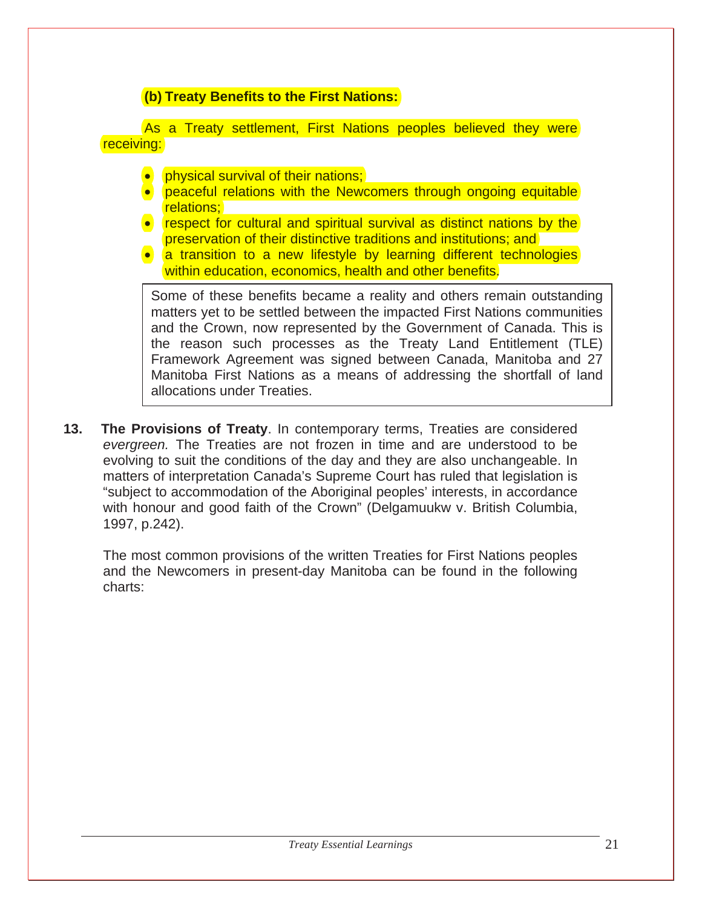### **(b) Treaty Benefits to the First Nations:**

As a Treaty settlement, First Nations peoples believed they were receiving:

- physical survival of their nations;
- peaceful relations with the Newcomers through ongoing equitable relations;
- respect for cultural and spiritual survival as distinct nations by the preservation of their distinctive traditions and institutions; and
- a transition to a new lifestyle by learning different technologies within education, economics, health and other benefits.

Some of these benefits became a reality and others remain outstanding matters yet to be settled between the impacted First Nations communities and the Crown, now represented by the Government of Canada. This is the reason such processes as the Treaty Land Entitlement (TLE) Framework Agreement was signed between Canada, Manitoba and 27 Manitoba First Nations as a means of addressing the shortfall of land allocations under Treaties.

**13. The Provisions of Treaty**. In contemporary terms, Treaties are considered *evergreen.* The Treaties are not frozen in time and are understood to be evolving to suit the conditions of the day and they are also unchangeable. In matters of interpretation Canada's Supreme Court has ruled that legislation is "subject to accommodation of the Aboriginal peoples' interests, in accordance with honour and good faith of the Crown" (Delgamuukw v. British Columbia, 1997, p.242).

The most common provisions of the written Treaties for First Nations peoples and the Newcomers in present-day Manitoba can be found in the following charts: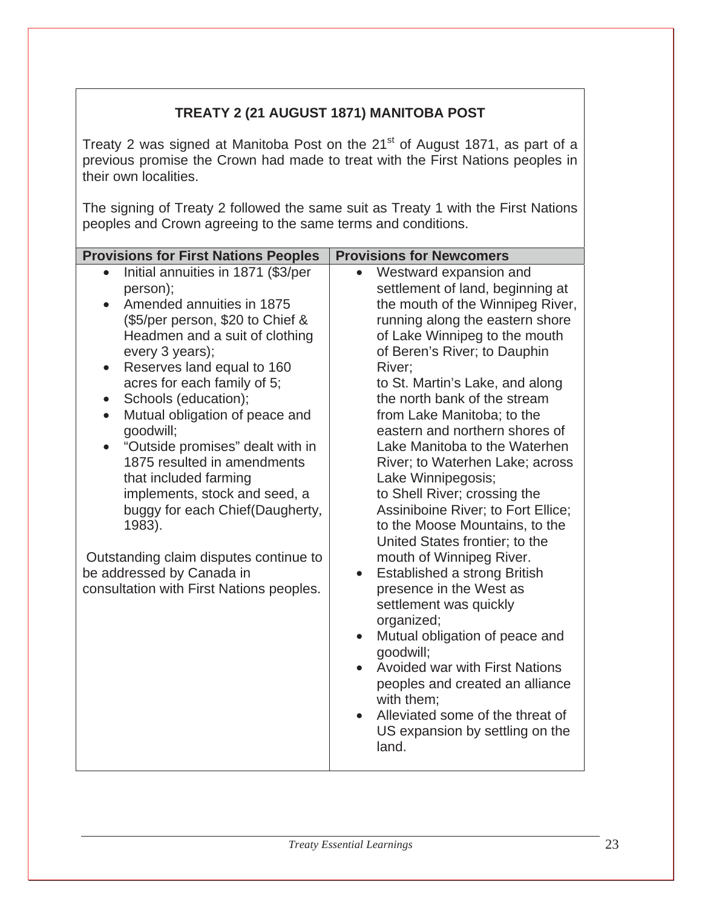## **TREATY 2 (21 AUGUST 1871) MANITOBA POST**

Treaty 2 was signed at Manitoba Post on the 21 $^{\text{st}}$  of August 1871, as part of a previous promise the Crown had made to treat with the First Nations peoples in their own localities.

The signing of Treaty 2 followed the same suit as Treaty 1 with the First Nations peoples and Crown agreeing to the same terms and conditions.

| <b>Provisions for First Nations Peoples</b>                                                                                                                                                                                                                                                                                                                                                                                                                                                                                                                                                                                                                            | <b>Provisions for Newcomers</b>                                                                                                                                                                                                                                                                                                                                                                                                                                                                                                                                                                                                                                                                                                                                                                                                                                                                                                                                       |
|------------------------------------------------------------------------------------------------------------------------------------------------------------------------------------------------------------------------------------------------------------------------------------------------------------------------------------------------------------------------------------------------------------------------------------------------------------------------------------------------------------------------------------------------------------------------------------------------------------------------------------------------------------------------|-----------------------------------------------------------------------------------------------------------------------------------------------------------------------------------------------------------------------------------------------------------------------------------------------------------------------------------------------------------------------------------------------------------------------------------------------------------------------------------------------------------------------------------------------------------------------------------------------------------------------------------------------------------------------------------------------------------------------------------------------------------------------------------------------------------------------------------------------------------------------------------------------------------------------------------------------------------------------|
| Initial annuities in 1871 (\$3/per<br>person);<br>Amended annuities in 1875<br>$\bullet$<br>(\$5/per person, \$20 to Chief &<br>Headmen and a suit of clothing<br>every 3 years);<br>Reserves land equal to 160<br>$\bullet$<br>acres for each family of 5;<br>Schools (education);<br>$\bullet$<br>Mutual obligation of peace and<br>$\bullet$<br>goodwill;<br>"Outside promises" dealt with in<br>$\bullet$<br>1875 resulted in amendments<br>that included farming<br>implements, stock and seed, a<br>buggy for each Chief(Daugherty,<br>1983).<br>Outstanding claim disputes continue to<br>be addressed by Canada in<br>consultation with First Nations peoples. | Westward expansion and<br>settlement of land, beginning at<br>the mouth of the Winnipeg River,<br>running along the eastern shore<br>of Lake Winnipeg to the mouth<br>of Beren's River; to Dauphin<br>River;<br>to St. Martin's Lake, and along<br>the north bank of the stream<br>from Lake Manitoba; to the<br>eastern and northern shores of<br>Lake Manitoba to the Waterhen<br>River; to Waterhen Lake; across<br>Lake Winnipegosis;<br>to Shell River; crossing the<br>Assiniboine River; to Fort Ellice;<br>to the Moose Mountains, to the<br>United States frontier; to the<br>mouth of Winnipeg River.<br>Established a strong British<br>$\bullet$<br>presence in the West as<br>settlement was quickly<br>organized;<br>Mutual obligation of peace and<br>$\bullet$<br>goodwill;<br><b>Avoided war with First Nations</b><br>peoples and created an alliance<br>with them:<br>Alleviated some of the threat of<br>US expansion by settling on the<br>land. |